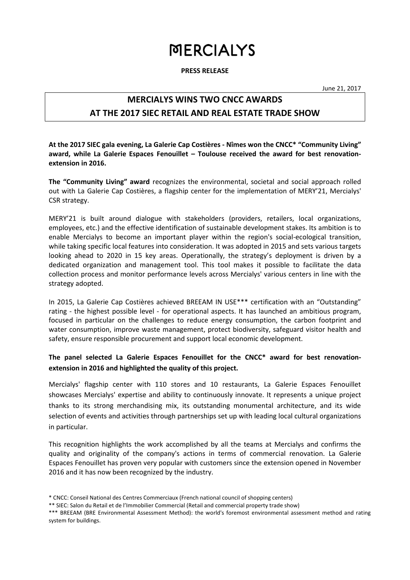# **MERCIALYS**

**PRESS RELEASE**

June 21, 2017

## **MERCIALYS WINS TWO CNCC AWARDS**

## **AT THE 2017 SIEC RETAIL AND REAL ESTATE TRADE SHOW**

**At the 2017 SIEC gala evening, La Galerie Cap Costières - Nîmes won the CNCC\* "Community Living" award, while La Galerie Espaces Fenouillet – Toulouse received the award for best renovationextension in 2016.**

**The "Community Living" award** recognizes the environmental, societal and social approach rolled out with La Galerie Cap Costières, a flagship center for the implementation of MERY'21, Mercialys' CSR strategy.

MERY'21 is built around dialogue with stakeholders (providers, retailers, local organizations, employees, etc.) and the effective identification of sustainable development stakes. Its ambition is to enable Mercialys to become an important player within the region's social-ecological transition, while taking specific local features into consideration. It was adopted in 2015 and sets various targets looking ahead to 2020 in 15 key areas. Operationally, the strategy's deployment is driven by a dedicated organization and management tool. This tool makes it possible to facilitate the data collection process and monitor performance levels across Mercialys' various centers in line with the strategy adopted.

In 2015, La Galerie Cap Costières achieved BREEAM IN USE\*\*\* certification with an "Outstanding" rating - the highest possible level - for operational aspects. It has launched an ambitious program, focused in particular on the challenges to reduce energy consumption, the carbon footprint and water consumption, improve waste management, protect biodiversity, safeguard visitor health and safety, ensure responsible procurement and support local economic development.

### **The panel selected La Galerie Espaces Fenouillet for the CNCC\* award for best renovationextension in 2016 and highlighted the quality of this project.**

Mercialys' flagship center with 110 stores and 10 restaurants, La Galerie Espaces Fenouillet showcases Mercialys' expertise and ability to continuously innovate. It represents a unique project thanks to its strong merchandising mix, its outstanding monumental architecture, and its wide selection of events and activities through partnerships set up with leading local cultural organizations in particular.

This recognition highlights the work accomplished by all the teams at Mercialys and confirms the quality and originality of the company's actions in terms of commercial renovation. La Galerie Espaces Fenouillet has proven very popular with customers since the extension opened in November 2016 and it has now been recognized by the industry.

<sup>\*</sup> CNCC: Conseil National des Centres Commerciaux (French national council of shopping centers)

<sup>\*\*</sup> SIEC: Salon du Retail et de l'Immobilier Commercial (Retail and commercial property trade show)

<sup>\*\*\*</sup> BREEAM (BRE Environmental Assessment Method): the world's foremost environmental assessment method and rating system for buildings.